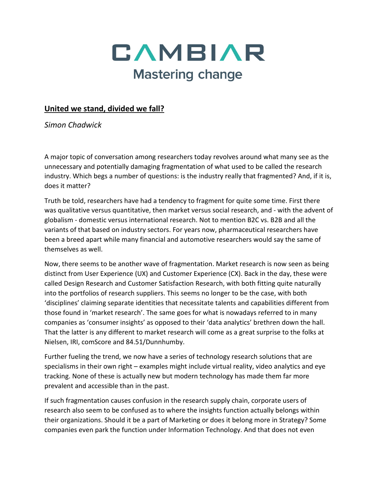

## **United we stand, divided we fall?**

*Simon Chadwick*

A major topic of conversation among researchers today revolves around what many see as the unnecessary and potentially damaging fragmentation of what used to be called the research industry. Which begs a number of questions: is the industry really that fragmented? And, if it is, does it matter?

Truth be told, researchers have had a tendency to fragment for quite some time. First there was qualitative versus quantitative, then market versus social research, and - with the advent of globalism - domestic versus international research. Not to mention B2C vs. B2B and all the variants of that based on industry sectors. For years now, pharmaceutical researchers have been a breed apart while many financial and automotive researchers would say the same of themselves as well.

Now, there seems to be another wave of fragmentation. Market research is now seen as being distinct from User Experience (UX) and Customer Experience (CX). Back in the day, these were called Design Research and Customer Satisfaction Research, with both fitting quite naturally into the portfolios of research suppliers. This seems no longer to be the case, with both 'disciplines' claiming separate identities that necessitate talents and capabilities different from those found in 'market research'. The same goes for what is nowadays referred to in many companies as 'consumer insights' as opposed to their 'data analytics' brethren down the hall. That the latter is any different to market research will come as a great surprise to the folks at Nielsen, IRI, comScore and 84.51/Dunnhumby.

Further fueling the trend, we now have a series of technology research solutions that are specialisms in their own right – examples might include virtual reality, video analytics and eye tracking. None of these is actually new but modern technology has made them far more prevalent and accessible than in the past.

If such fragmentation causes confusion in the research supply chain, corporate users of research also seem to be confused as to where the insights function actually belongs within their organizations. Should it be a part of Marketing or does it belong more in Strategy? Some companies even park the function under Information Technology. And that does not even